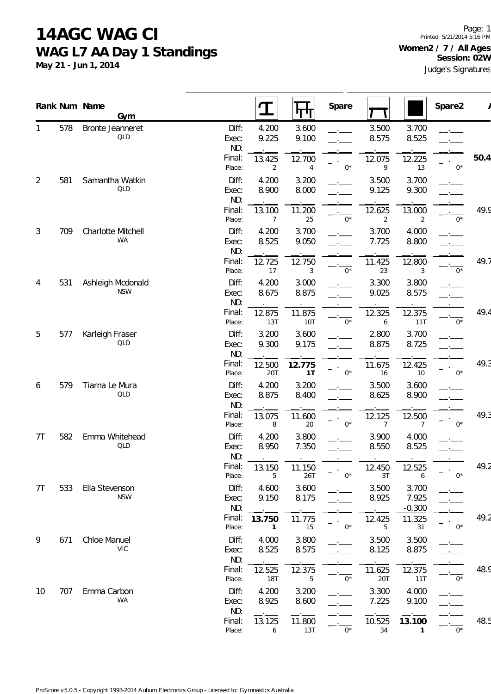**May 21 - Jun 1, 2014**

Page: 1 Printed: 5/21/2014 5:16 PM **Women2 / 7 / All Ages Session: 02W**

Judge's Signatures

|    |     | Rank Num Name<br>Gym            |                       |                          | न ग                  | Spare       |                          |                            | Spare2 |      |
|----|-----|---------------------------------|-----------------------|--------------------------|----------------------|-------------|--------------------------|----------------------------|--------|------|
| 1  | 578 | Bronte Jeanneret<br><b>QLD</b>  | Diff:<br>Exec:<br>ND: | 4.200<br>9.225           | 3.600<br>9.100       |             | 3.500<br>8.575           | 3.700<br>8.525             |        |      |
|    |     |                                 | Final:<br>Place:      | 13.425<br>$\overline{2}$ | 12.700<br>4          | $0^*$       | 12.075<br>9              | 12.225<br>13               | $0^*$  | 50.4 |
| 2  | 581 | Samantha Watkin<br><b>QLD</b>   | Diff:<br>Exec:<br>ND: | 4.200<br>8.900           | 3.200<br>8.000       |             | 3.500<br>9.125           | 3.700<br>9.300             |        |      |
|    |     |                                 | Final:<br>Place:      | 13.100<br>7              | 11.200<br>25         | $0^*$       | 12.625<br>$\overline{2}$ | 13.000<br>$\overline{2}$   | $0^*$  | 49.9 |
| 3  | 709 | Charlotte Mitchell<br><b>WA</b> | Diff:<br>Exec:<br>ND: | 4.200<br>8.525           | 3.700<br>9.050       |             | 3.700<br>7.725           | 4.000<br>8.800             |        |      |
|    |     |                                 | Final:<br>Place:      | 12.725<br>17             | 12.750<br>3          | $0^*$       | 11.425<br>23             | 12.800<br>3                | $0^*$  | 49.7 |
| 4  | 531 | Ashleigh Mcdonald<br><b>NSW</b> | Diff:<br>Exec:<br>ND: | 4.200<br>8.675           | 3.000<br>8.875       |             | 3.300<br>9.025           | 3.800<br>8.575             |        |      |
|    |     |                                 | Final:<br>Place:      | 12.875<br>13T            | 11.875<br><b>10T</b> | $0^*$       | 12.325<br>6              | 12.375<br>11T              | $0^*$  | 49.4 |
| 5  | 577 | Karleigh Fraser<br>QLD          | Diff:<br>Exec:<br>ND: | 3.200<br>9.300           | 3.600<br>9.175       |             | 2.800<br>8.875           | 3.700<br>8.725             |        |      |
|    |     |                                 | Final:<br>Place:      | 12.500<br>20T            | 12.775<br>1T         | $0^*$       | 11.675<br>16             | 12.425<br>10               | $0^*$  | 49.3 |
| 6  | 579 | Tiarna Le Mura<br><b>QLD</b>    | Diff:<br>Exec:<br>ND: | 4.200<br>8.875           | 3.200<br>8.400       |             | 3.500<br>8.625           | 3.600<br>8.900             |        |      |
|    |     |                                 | Final:<br>Place:      | 13.075<br>8              | 11.600<br>20         | $0*$        | 12.125<br>7              | 12.500<br>$\overline{7}$   | $0^*$  | 49.3 |
| 7T | 582 | Emma Whitehead<br>QLD           | Diff:<br>Exec:<br>ND: | 4.200<br>8.950           | 3.800<br>7.350       |             | 3.900<br>8.550           | 4.000<br>8.525             |        |      |
|    |     |                                 | Final:<br>Place:      | 13.150<br>5              | 11.150<br>26T        | $0^*$       | 12.450<br>3T             | 12.525<br>6                | $0^*$  | 49.2 |
| 7T | 533 | Ella Stevenson<br><b>NSW</b>    | Diff:<br>Exec:<br>ND: | 4.600<br>9.150           | 3.600<br>8.175       |             | 3.500<br>8.925           | 3.700<br>7.925<br>$-0.300$ |        |      |
|    |     |                                 | Final:<br>Place:      | 13.750<br>$\mathbf{1}$   | 11.775<br>15         | $0^{\star}$ | 12.425<br>5              | 11.325<br>31               | $0^*$  | 49.2 |
| 9  | 671 | Chloe Manuel<br><b>VIC</b>      | Diff:<br>Exec:<br>ND: | 4.000<br>8.525           | 3.800<br>8.575       |             | 3.500<br>8.125           | 3.500<br>8.875             |        |      |
|    |     |                                 | Final:<br>Place:      | 12.525<br><b>18T</b>     | 12.375<br>5          | $0^*$       | 11.625<br>20T            | 12.375<br>11T              | $0^*$  | 48.9 |
| 10 | 707 | Emma Carbon<br>WA               | Diff:<br>Exec:        | 4.200<br>8.925           | 3.200<br>8.600       |             | 3.300<br>7.225           | 4.000<br>9.100             |        |      |
|    |     |                                 | ND:<br>Final:         | 13.125                   | 11.800               |             | 10.525                   | 13.100                     |        | 48.5 |
|    |     |                                 | Place:                | 6                        | 13T                  | $0^*$       | 34                       | $\mathbf{1}$               | $0^*$  |      |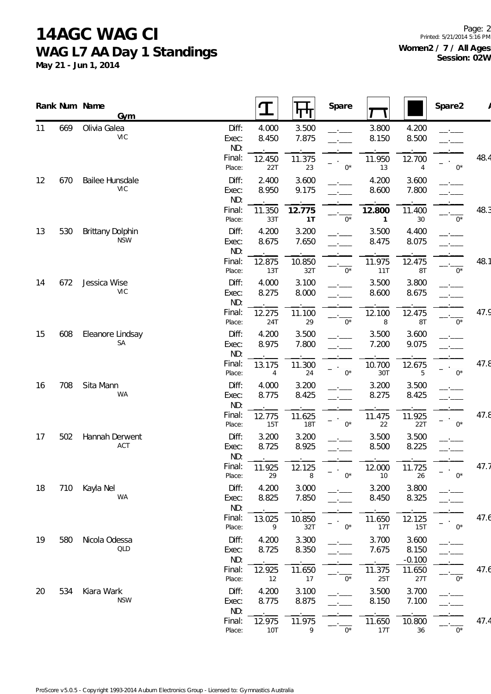**May 21 - Jun 1, 2014**

|    |     | Rank Num Name<br>Gym           |                       |                          |                      | Spare       |                        |                            | Spare2 |      |
|----|-----|--------------------------------|-----------------------|--------------------------|----------------------|-------------|------------------------|----------------------------|--------|------|
| 11 | 669 | Olivia Galea<br><b>VIC</b>     | Diff:<br>Exec:<br>ND: | 4.000<br>8.450           | 3.500<br>7.875       |             | 3.800<br>8.150         | 4.200<br>8.500             |        |      |
|    |     |                                | Final:<br>Place:      | 12.450<br>22T            | 11.375<br>23         | $0^*$       | 11.950<br>13           | 12.700<br>4                | $0^*$  | 48.4 |
| 12 | 670 | Bailee Hunsdale<br><b>VIC</b>  | Diff:<br>Exec:<br>ND: | 2.400<br>8.950           | 3.600<br>9.175       |             | 4.200<br>8.600         | 3.600<br>7.800             |        |      |
|    |     |                                | Final:<br>Place:      | 11.350<br>33T            | 12.775<br>1T         | $0^*$       | 12.800<br>$\mathbf{1}$ | 11.400<br>30               | $0^*$  | 48.3 |
| 13 | 530 | Brittany Dolphin<br><b>NSW</b> | Diff:<br>Exec:<br>ND: | 4.200<br>8.675           | 3.200<br>7.650       |             | 3.500<br>8.475         | 4.400<br>8.075             |        |      |
|    |     |                                | Final:<br>Place:      | 12.875<br>13T            | 10.850<br>32T        | $0^*$       | 11.975<br>11T          | 12.475<br>8T               | $0^*$  | 48.1 |
| 14 | 672 | Jessica Wise<br><b>VIC</b>     | Diff:<br>Exec:<br>ND: | 4.000<br>8.275           | 3.100<br>8.000       |             | 3.500<br>8.600         | 3.800<br>8.675             |        |      |
|    |     |                                | Final:<br>Place:      | 12.275<br>24T            | 11.100<br>29         | $0*$        | 12.100<br>8            | 12.475<br>8T               | $0^*$  | 47.9 |
| 15 | 608 | Eleanore Lindsay<br>SA         | Diff:<br>Exec:<br>ND: | 4.200<br>8.975           | 3.500<br>7.800       |             | 3.500<br>7.200         | 3.600<br>9.075             |        |      |
|    |     |                                | Final:<br>Place:      | 13.175<br>$\overline{4}$ | 11.300<br>24         | $0^*$       | 10.700<br>30T          | 12.675<br>5                | $0^*$  | 47.8 |
| 16 | 708 | Sita Mann<br><b>WA</b>         | Diff:<br>Exec:<br>ND: | 4.000<br>8.775           | 3.200<br>8.425       |             | 3.200<br>8.275         | 3.500<br>8.425             |        |      |
|    |     |                                | Final:<br>Place:      | 12.775<br><b>15T</b>     | 11.625<br><b>18T</b> | $0^*$       | 11.475<br>22           | 11.925<br>22T              | $0^*$  | 47.8 |
| 17 | 502 | Hannah Derwent<br>ACT          | Diff:<br>Exec:<br>ND: | 3.200<br>8.725           | 3.200<br>8.925       |             | 3.500<br>8.500         | 3.500<br>8.225             |        |      |
|    |     |                                | Final:<br>Place:      | 11.925<br>29             | 12.125<br>8          | $0^*$       | 12.000<br>10           | 11.725<br>26               | $0^*$  | 47.7 |
| 18 | 710 | Kayla Nel<br>WA                | Diff:<br>Exec:<br>ND: | 4.200<br>8.825           | 3.000<br>7.850       |             | 3.200<br>8.450         | 3.800<br>8.325             |        |      |
|    |     |                                | Final:<br>Place:      | 13.025<br>9              | 10.850<br>32T        | $0^{\star}$ | 11.650<br>17T          | 12.125<br><b>15T</b>       | $0^*$  | 47.6 |
| 19 | 580 | Nicola Odessa<br><b>QLD</b>    | Diff:<br>Exec:<br>ND: | 4.200<br>8.725           | 3.300<br>8.350       |             | 3.700<br>7.675         | 3.600<br>8.150<br>$-0.100$ |        |      |
|    |     |                                | Final:<br>Place:      | 12.925<br>12             | 11.650<br>$17\,$     | $0^*$       | 11.375<br>25T          | 11.650<br>27T              | $0^*$  | 47.6 |
| 20 | 534 | Kiara Wark<br><b>NSW</b>       | Diff:<br>Exec:<br>ND: | 4.200<br>8.775           | 3.100<br>8.875       |             | 3.500<br>8.150         | 3.700<br>7.100             |        |      |
|    |     |                                | Final:<br>Place:      | 12.975<br><b>10T</b>     | 11.975<br>9          | $0^{\star}$ | 11.650<br>17T          | 10.800<br>36               | $0^*$  | 47.4 |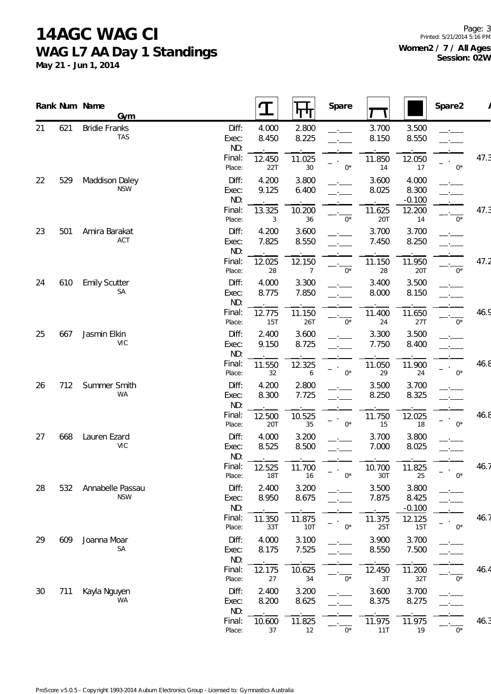**May 21 - Jun 1, 2014**

|    |     | Rank Num Name<br>Gym           |                       |                      | पाण                  | Spare       |                |                            | Spare2      |      |
|----|-----|--------------------------------|-----------------------|----------------------|----------------------|-------------|----------------|----------------------------|-------------|------|
| 21 | 621 | <b>Bridie Franks</b><br>TAS    | Diff:<br>Exec:<br>ND: | 4.000<br>8.450       | 2.800<br>8.225       |             | 3.700<br>8.150 | 3.500<br>8.550             |             |      |
|    |     |                                | Final:<br>Place:      | 12.450<br>22T        | 11.025<br>30         | $0^*$       | 11.850<br>14   | 12.050<br>17               | $0^*$       | 47.3 |
| 22 | 529 | Maddison Daley<br><b>NSW</b>   | Diff:<br>Exec:<br>ND: | 4.200<br>9.125       | 3.800<br>6.400       |             | 3.600<br>8.025 | 4.000<br>8.300<br>$-0.100$ |             |      |
|    |     |                                | Final:<br>Place:      | 13.325<br>3          | 10.200<br>36         | $0^*$       | 11.625<br>20T  | 12.200<br>14               | $0^*$       | 47.3 |
| 23 | 501 | Amira Barakat<br>ACT           | Diff:<br>Exec:<br>ND: | 4.200<br>7.825       | 3.600<br>8.550       |             | 3.700<br>7.450 | 3.700<br>8.250             |             |      |
|    |     |                                | Final:<br>Place:      | 12.025<br>28         | 12.150<br>7          | $0*$        | 11.150<br>28   | 11.950<br>20T              | $0^*$       | 47.2 |
| 24 | 610 | <b>Emily Scutter</b><br>SA     | Diff:<br>Exec:<br>ND: | 4.000<br>8.775       | 3.300<br>7.850       |             | 3.400<br>8.000 | 3.500<br>8.150             |             |      |
|    |     |                                | Final:<br>Place:      | 12.775<br><b>15T</b> | 11.150<br>26T        | $0^*$       | 11.400<br>24   | 11.650<br>27T              | $0^*$       | 46.9 |
| 25 | 667 | Jasmin Elkin<br><b>VIC</b>     | Diff:<br>Exec:<br>ND: | 2.400<br>9.150       | 3.600<br>8.725       |             | 3.300<br>7.750 | 3.500<br>8.400             |             |      |
|    |     |                                | Final:<br>Place:      | 11.550<br>32         | 12.325<br>6          | $0^*$       | 11.050<br>29   | 11.900<br>24               | $0^*$       | 46.8 |
| 26 | 712 | Summer Smith<br>WA             | Diff:<br>Exec:<br>ND: | 4.200<br>8.300       | 2.800<br>7.725       |             | 3.500<br>8.250 | 3.700<br>8.325             |             |      |
|    |     |                                | Final:<br>Place:      | 12.500<br>20T        | 10.525<br>35         | $0^*$       | 11.750<br>15   | 12.025<br>18               | $0^*$       | 46.8 |
| 27 | 668 | Lauren Ezard<br><b>VIC</b>     | Diff:<br>Exec:<br>ND: | 4.000<br>8.525       | 3.200<br>8.500       |             | 3.700<br>7.000 | 3.800<br>8.025             |             |      |
|    |     |                                | Final:<br>Place:      | 12.525<br><b>18T</b> | 11.700<br>16         | $0^*$       | 10.700<br>30T  | 11.825<br>25               | $0^*$       | 46.7 |
| 28 | 532 | Annabelle Passau<br><b>NSW</b> | Diff:<br>Exec:<br>ND: | 2.400<br>8.950       | 3.200<br>8.675       |             | 3.500<br>7.875 | 3.800<br>8.425<br>$-0.100$ |             |      |
|    |     |                                | Final:<br>Place:      | 11.350<br>33T        | 11.875<br><b>10T</b> | $0^*$       | 11.375<br>25T  | 12.125<br>15T              | $0^*$       | 46.7 |
| 29 | 609 | Joanna Moar<br>SA              | Diff:<br>Exec:<br>ND: | 4.000<br>8.175       | 3.100<br>7.525       |             | 3.900<br>8.550 | 3.700<br>7.500             |             |      |
|    |     |                                | Final:<br>Place:      | 12.175<br>27         | 10.625<br>34         | $0^{\star}$ | 12.450<br>3T   | 11.200<br>32T              | $0^*$       | 46.4 |
| 30 | 711 | Kayla Nguyen<br>WA             | Diff:<br>Exec:<br>ND: | 2.400<br>8.200       | 3.200<br>8.625       |             | 3.600<br>8.375 | 3.700<br>8.275             |             |      |
|    |     |                                | Final:<br>Place:      | 10.600<br>37         | 11.825<br>12         | $0^{\star}$ | 11.975<br>11T  | 11.975<br>19               | $0^{\star}$ | 46.3 |
|    |     |                                |                       |                      |                      |             |                |                            |             |      |